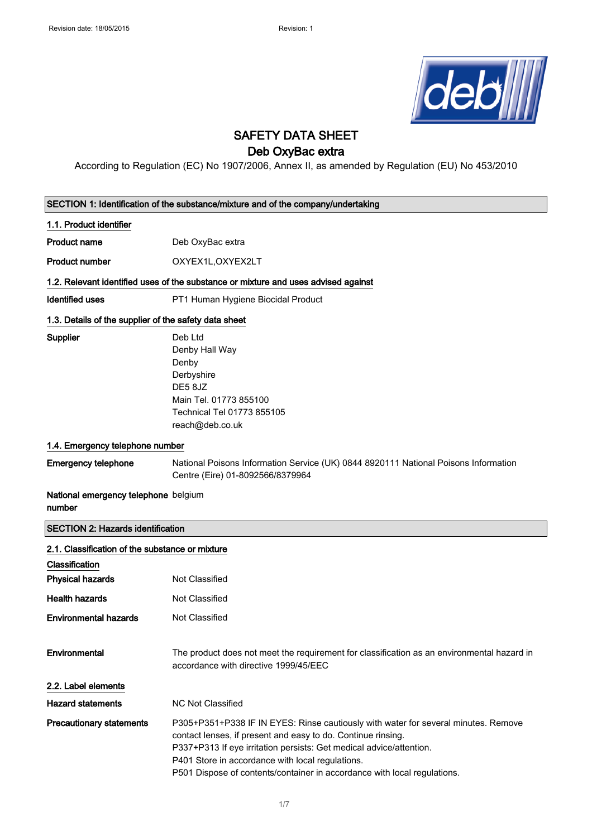

## SAFETY DATA SHEET

## Deb OxyBac extra

According to Regulation (EC) No 1907/2006, Annex II, as amended by Regulation (EU) No 453/2010

|                                                                                    | SECTION 1: Identification of the substance/mixture and of the company/undertaking                                                                                                                                                                                                                                                                                                     |  |
|------------------------------------------------------------------------------------|---------------------------------------------------------------------------------------------------------------------------------------------------------------------------------------------------------------------------------------------------------------------------------------------------------------------------------------------------------------------------------------|--|
| 1.1. Product identifier                                                            |                                                                                                                                                                                                                                                                                                                                                                                       |  |
| <b>Product name</b>                                                                | Deb OxyBac extra                                                                                                                                                                                                                                                                                                                                                                      |  |
| <b>Product number</b>                                                              | OXYEX1L, OXYEX2LT                                                                                                                                                                                                                                                                                                                                                                     |  |
| 1.2. Relevant identified uses of the substance or mixture and uses advised against |                                                                                                                                                                                                                                                                                                                                                                                       |  |
| <b>Identified uses</b>                                                             | PT1 Human Hygiene Biocidal Product                                                                                                                                                                                                                                                                                                                                                    |  |
| 1.3. Details of the supplier of the safety data sheet                              |                                                                                                                                                                                                                                                                                                                                                                                       |  |
| <b>Supplier</b>                                                                    | Deb Ltd<br>Denby Hall Way<br>Denby<br>Derbyshire<br>DE5 8JZ<br>Main Tel. 01773 855100<br>Technical Tel 01773 855105<br>reach@deb.co.uk                                                                                                                                                                                                                                                |  |
| 1.4. Emergency telephone number                                                    |                                                                                                                                                                                                                                                                                                                                                                                       |  |
| <b>Emergency telephone</b>                                                         | National Poisons Information Service (UK) 0844 8920111 National Poisons Information<br>Centre (Eire) 01-8092566/8379964                                                                                                                                                                                                                                                               |  |
| National emergency telephone belgium<br>number                                     |                                                                                                                                                                                                                                                                                                                                                                                       |  |
| <b>SECTION 2: Hazards identification</b>                                           |                                                                                                                                                                                                                                                                                                                                                                                       |  |
| 2.1. Classification of the substance or mixture<br>Classification                  |                                                                                                                                                                                                                                                                                                                                                                                       |  |
| <b>Physical hazards</b>                                                            | <b>Not Classified</b>                                                                                                                                                                                                                                                                                                                                                                 |  |
| <b>Health hazards</b>                                                              | <b>Not Classified</b>                                                                                                                                                                                                                                                                                                                                                                 |  |
| <b>Environmental hazards</b>                                                       | Not Classified                                                                                                                                                                                                                                                                                                                                                                        |  |
| Environmental                                                                      | The product does not meet the requirement for classification as an environmental hazard in<br>accordance with directive 1999/45/EEC                                                                                                                                                                                                                                                   |  |
| 2.2. Label elements<br><b>Hazard statements</b>                                    |                                                                                                                                                                                                                                                                                                                                                                                       |  |
| <b>Precautionary statements</b>                                                    | <b>NC Not Classified</b><br>P305+P351+P338 IF IN EYES: Rinse cautiously with water for several minutes. Remove<br>contact lenses, if present and easy to do. Continue rinsing.<br>P337+P313 If eye irritation persists: Get medical advice/attention.<br>P401 Store in accordance with local regulations.<br>P501 Dispose of contents/container in accordance with local regulations. |  |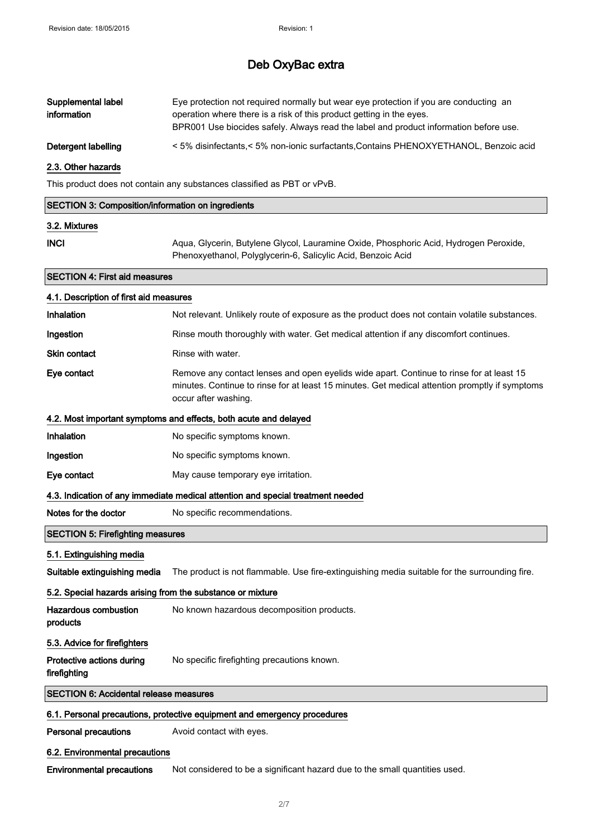| Supplemental label<br>information                                               | Eye protection not required normally but wear eye protection if you are conducting an<br>operation where there is a risk of this product getting in the eyes.<br>BPR001 Use biocides safely. Always read the label and product information before use. |  |
|---------------------------------------------------------------------------------|--------------------------------------------------------------------------------------------------------------------------------------------------------------------------------------------------------------------------------------------------------|--|
| Detergent labelling                                                             | < 5% disinfectants,< 5% non-ionic surfactants, Contains PHENOXYETHANOL, Benzoic acid                                                                                                                                                                   |  |
| 2.3. Other hazards                                                              |                                                                                                                                                                                                                                                        |  |
|                                                                                 | This product does not contain any substances classified as PBT or vPvB.                                                                                                                                                                                |  |
| <b>SECTION 3: Composition/information on ingredients</b>                        |                                                                                                                                                                                                                                                        |  |
| 3.2. Mixtures                                                                   |                                                                                                                                                                                                                                                        |  |
| <b>INCI</b>                                                                     | Aqua, Glycerin, Butylene Glycol, Lauramine Oxide, Phosphoric Acid, Hydrogen Peroxide,<br>Phenoxyethanol, Polyglycerin-6, Salicylic Acid, Benzoic Acid                                                                                                  |  |
| <b>SECTION 4: First aid measures</b>                                            |                                                                                                                                                                                                                                                        |  |
| 4.1. Description of first aid measures                                          |                                                                                                                                                                                                                                                        |  |
| Inhalation                                                                      | Not relevant. Unlikely route of exposure as the product does not contain volatile substances.                                                                                                                                                          |  |
| Ingestion                                                                       | Rinse mouth thoroughly with water. Get medical attention if any discomfort continues.                                                                                                                                                                  |  |
| <b>Skin contact</b>                                                             | Rinse with water.                                                                                                                                                                                                                                      |  |
| Eye contact                                                                     | Remove any contact lenses and open eyelids wide apart. Continue to rinse for at least 15<br>minutes. Continue to rinse for at least 15 minutes. Get medical attention promptly if symptoms<br>occur after washing.                                     |  |
|                                                                                 | 4.2. Most important symptoms and effects, both acute and delayed                                                                                                                                                                                       |  |
| Inhalation                                                                      | No specific symptoms known.                                                                                                                                                                                                                            |  |
| Ingestion                                                                       | No specific symptoms known.                                                                                                                                                                                                                            |  |
| Eye contact                                                                     | May cause temporary eye irritation.                                                                                                                                                                                                                    |  |
| 4.3. Indication of any immediate medical attention and special treatment needed |                                                                                                                                                                                                                                                        |  |
| Notes for the doctor                                                            | No specific recommendations.                                                                                                                                                                                                                           |  |
| <b>SECTION 5: Firefighting measures</b>                                         |                                                                                                                                                                                                                                                        |  |
| 5.1. Extinguishing media                                                        |                                                                                                                                                                                                                                                        |  |
| Suitable extinguishing media                                                    | The product is not flammable. Use fire-extinguishing media suitable for the surrounding fire.                                                                                                                                                          |  |
| 5.2. Special hazards arising from the substance or mixture                      |                                                                                                                                                                                                                                                        |  |
| <b>Hazardous combustion</b><br>products                                         | No known hazardous decomposition products.                                                                                                                                                                                                             |  |

### 5.3. Advice for firefighters

firefighting

Protective actions during No specific firefighting precautions known.

#### SECTION 6: Accidental release measures

#### 6.1. Personal precautions, protective equipment and emergency procedures

Personal precautions **Avoid contact with eyes.** 

#### 6.2. Environmental precautions

Environmental precautions Not considered to be a significant hazard due to the small quantities used.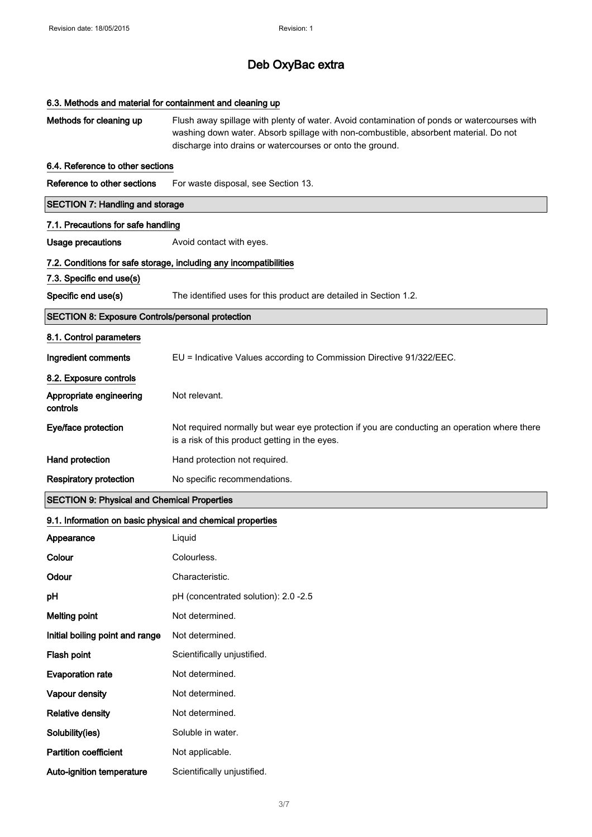| 6.3. Methods and material for containment and cleaning up  |                                                                                                                                                                                                                                                  |  |
|------------------------------------------------------------|--------------------------------------------------------------------------------------------------------------------------------------------------------------------------------------------------------------------------------------------------|--|
| Methods for cleaning up                                    | Flush away spillage with plenty of water. Avoid contamination of ponds or watercourses with<br>washing down water. Absorb spillage with non-combustible, absorbent material. Do not<br>discharge into drains or watercourses or onto the ground. |  |
| 6.4. Reference to other sections                           |                                                                                                                                                                                                                                                  |  |
| Reference to other sections                                | For waste disposal, see Section 13.                                                                                                                                                                                                              |  |
| <b>SECTION 7: Handling and storage</b>                     |                                                                                                                                                                                                                                                  |  |
| 7.1. Precautions for safe handling                         |                                                                                                                                                                                                                                                  |  |
| <b>Usage precautions</b>                                   | Avoid contact with eyes.                                                                                                                                                                                                                         |  |
|                                                            | 7.2. Conditions for safe storage, including any incompatibilities                                                                                                                                                                                |  |
| 7.3. Specific end use(s)                                   |                                                                                                                                                                                                                                                  |  |
| Specific end use(s)                                        | The identified uses for this product are detailed in Section 1.2.                                                                                                                                                                                |  |
| <b>SECTION 8: Exposure Controls/personal protection</b>    |                                                                                                                                                                                                                                                  |  |
| 8.1. Control parameters                                    |                                                                                                                                                                                                                                                  |  |
| Ingredient comments                                        | EU = Indicative Values according to Commission Directive 91/322/EEC.                                                                                                                                                                             |  |
| 8.2. Exposure controls                                     |                                                                                                                                                                                                                                                  |  |
| Appropriate engineering<br>controls                        | Not relevant.                                                                                                                                                                                                                                    |  |
| Eye/face protection                                        | Not required normally but wear eye protection if you are conducting an operation where there<br>is a risk of this product getting in the eyes.                                                                                                   |  |
| Hand protection                                            | Hand protection not required.                                                                                                                                                                                                                    |  |
| <b>Respiratory protection</b>                              | No specific recommendations.                                                                                                                                                                                                                     |  |
| <b>SECTION 9: Physical and Chemical Properties</b>         |                                                                                                                                                                                                                                                  |  |
| 9.1. Information on basic physical and chemical properties |                                                                                                                                                                                                                                                  |  |
| Appearance                                                 | Liquid                                                                                                                                                                                                                                           |  |
| Colour                                                     | Colourless.                                                                                                                                                                                                                                      |  |
| Odour                                                      | Characteristic.                                                                                                                                                                                                                                  |  |
| pH                                                         | pH (concentrated solution): 2.0 -2.5                                                                                                                                                                                                             |  |
| <b>Melting point</b>                                       | Not determined.                                                                                                                                                                                                                                  |  |
| Initial boiling point and range                            | Not determined.                                                                                                                                                                                                                                  |  |
| Flash point                                                | Scientifically unjustified.                                                                                                                                                                                                                      |  |
| <b>Evaporation rate</b>                                    | Not determined.                                                                                                                                                                                                                                  |  |
| Vapour density                                             | Not determined.                                                                                                                                                                                                                                  |  |
| <b>Relative density</b>                                    | Not determined.                                                                                                                                                                                                                                  |  |
| Solubility(ies)                                            | Soluble in water.                                                                                                                                                                                                                                |  |
| <b>Partition coefficient</b>                               | Not applicable.                                                                                                                                                                                                                                  |  |
| Auto-ignition temperature                                  | Scientifically unjustified.                                                                                                                                                                                                                      |  |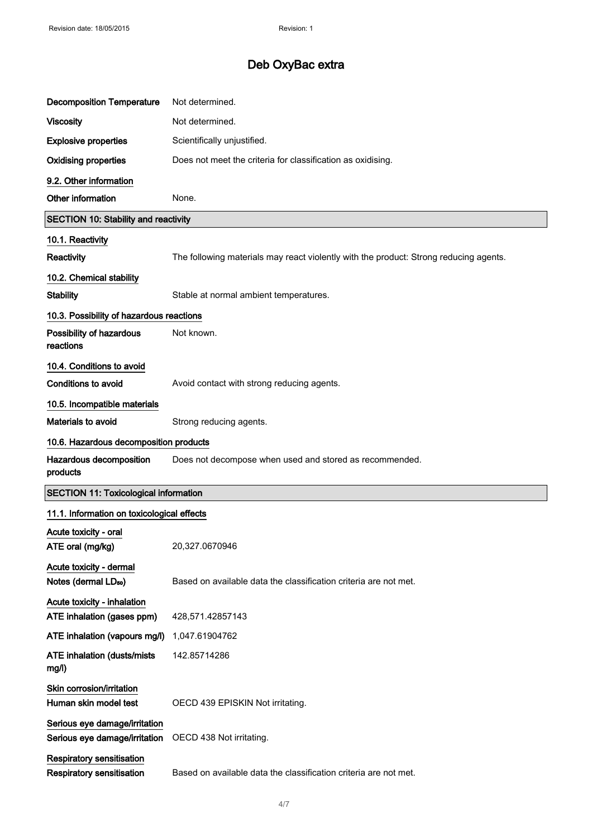| <b>Decomposition Temperature</b>                               | Not determined.                                                                       |
|----------------------------------------------------------------|---------------------------------------------------------------------------------------|
| <b>Viscosity</b>                                               | Not determined.                                                                       |
| <b>Explosive properties</b>                                    | Scientifically unjustified.                                                           |
| <b>Oxidising properties</b>                                    | Does not meet the criteria for classification as oxidising.                           |
| 9.2. Other information                                         |                                                                                       |
| Other information                                              | None.                                                                                 |
| <b>SECTION 10: Stability and reactivity</b>                    |                                                                                       |
| 10.1. Reactivity                                               |                                                                                       |
| Reactivity                                                     | The following materials may react violently with the product: Strong reducing agents. |
| 10.2. Chemical stability                                       |                                                                                       |
| <b>Stability</b>                                               | Stable at normal ambient temperatures.                                                |
| 10.3. Possibility of hazardous reactions                       |                                                                                       |
| Possibility of hazardous<br>reactions                          | Not known.                                                                            |
| 10.4. Conditions to avoid                                      |                                                                                       |
| <b>Conditions to avoid</b>                                     | Avoid contact with strong reducing agents.                                            |
| 10.5. Incompatible materials                                   |                                                                                       |
| <b>Materials to avoid</b>                                      | Strong reducing agents.                                                               |
| 10.6. Hazardous decomposition products                         |                                                                                       |
| Hazardous decomposition<br>products                            | Does not decompose when used and stored as recommended.                               |
| <b>SECTION 11: Toxicological information</b>                   |                                                                                       |
| 11.1. Information on toxicological effects                     |                                                                                       |
| Acute toxicity - oral<br>ATE oral (mg/kg)                      | 20,327.0670946                                                                        |
| Acute toxicity - dermal<br>Notes (dermal LD <sub>50</sub> )    | Based on available data the classification criteria are not met.                      |
| Acute toxicity - inhalation<br>ATE inhalation (gases ppm)      | 428,571.42857143                                                                      |
| ATE inhalation (vapours mg/l)                                  | 1,047.61904762                                                                        |
| <b>ATE inhalation (dusts/mists</b><br>mg/l)                    | 142.85714286                                                                          |
| Skin corrosion/irritation<br>Human skin model test             | OECD 439 EPISKIN Not irritating.                                                      |
| Serious eye damage/irritation<br>Serious eye damage/irritation | OECD 438 Not irritating.                                                              |
| Respiratory sensitisation<br><b>Respiratory sensitisation</b>  | Based on available data the classification criteria are not met.                      |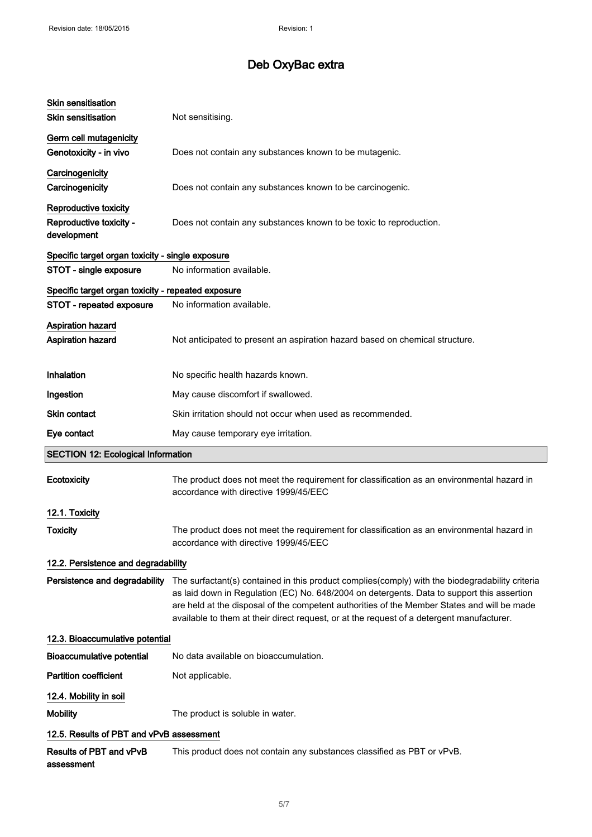| <b>Skin sensitisation</b>                          |                                                                                                                                                                                                                                                                                                                                                                                           |
|----------------------------------------------------|-------------------------------------------------------------------------------------------------------------------------------------------------------------------------------------------------------------------------------------------------------------------------------------------------------------------------------------------------------------------------------------------|
| <b>Skin sensitisation</b>                          | Not sensitising.                                                                                                                                                                                                                                                                                                                                                                          |
| Germ cell mutagenicity                             |                                                                                                                                                                                                                                                                                                                                                                                           |
| Genotoxicity - in vivo                             | Does not contain any substances known to be mutagenic.                                                                                                                                                                                                                                                                                                                                    |
| Carcinogenicity                                    |                                                                                                                                                                                                                                                                                                                                                                                           |
| Carcinogenicity                                    | Does not contain any substances known to be carcinogenic.                                                                                                                                                                                                                                                                                                                                 |
| Reproductive toxicity                              |                                                                                                                                                                                                                                                                                                                                                                                           |
| Reproductive toxicity -                            | Does not contain any substances known to be toxic to reproduction.                                                                                                                                                                                                                                                                                                                        |
| development                                        |                                                                                                                                                                                                                                                                                                                                                                                           |
| Specific target organ toxicity - single exposure   |                                                                                                                                                                                                                                                                                                                                                                                           |
| STOT - single exposure                             | No information available.                                                                                                                                                                                                                                                                                                                                                                 |
| Specific target organ toxicity - repeated exposure |                                                                                                                                                                                                                                                                                                                                                                                           |
| STOT - repeated exposure                           | No information available.                                                                                                                                                                                                                                                                                                                                                                 |
| <b>Aspiration hazard</b>                           |                                                                                                                                                                                                                                                                                                                                                                                           |
| <b>Aspiration hazard</b>                           | Not anticipated to present an aspiration hazard based on chemical structure.                                                                                                                                                                                                                                                                                                              |
| Inhalation                                         | No specific health hazards known.                                                                                                                                                                                                                                                                                                                                                         |
| Ingestion                                          | May cause discomfort if swallowed.                                                                                                                                                                                                                                                                                                                                                        |
| Skin contact                                       | Skin irritation should not occur when used as recommended.                                                                                                                                                                                                                                                                                                                                |
| Eye contact                                        | May cause temporary eye irritation.                                                                                                                                                                                                                                                                                                                                                       |
| <b>SECTION 12: Ecological Information</b>          |                                                                                                                                                                                                                                                                                                                                                                                           |
|                                                    |                                                                                                                                                                                                                                                                                                                                                                                           |
| Ecotoxicity                                        | The product does not meet the requirement for classification as an environmental hazard in<br>accordance with directive 1999/45/EEC                                                                                                                                                                                                                                                       |
| 12.1. Toxicity                                     |                                                                                                                                                                                                                                                                                                                                                                                           |
| <b>Toxicity</b>                                    | The product does not meet the requirement for classification as an environmental hazard in<br>accordance with directive 1999/45/EEC                                                                                                                                                                                                                                                       |
| 12.2. Persistence and degradability                |                                                                                                                                                                                                                                                                                                                                                                                           |
| Persistence and degradability                      | The surfactant(s) contained in this product complies(comply) with the biodegradability criteria<br>as laid down in Regulation (EC) No. 648/2004 on detergents. Data to support this assertion<br>are held at the disposal of the competent authorities of the Member States and will be made<br>available to them at their direct request, or at the request of a detergent manufacturer. |
| 12.3. Bioaccumulative potential                    |                                                                                                                                                                                                                                                                                                                                                                                           |
| <b>Bioaccumulative potential</b>                   | No data available on bioaccumulation.                                                                                                                                                                                                                                                                                                                                                     |
| <b>Partition coefficient</b>                       | Not applicable.                                                                                                                                                                                                                                                                                                                                                                           |
| 12.4. Mobility in soil                             |                                                                                                                                                                                                                                                                                                                                                                                           |
| <b>Mobility</b>                                    | The product is soluble in water.                                                                                                                                                                                                                                                                                                                                                          |
| 12.5. Results of PBT and vPvB assessment           |                                                                                                                                                                                                                                                                                                                                                                                           |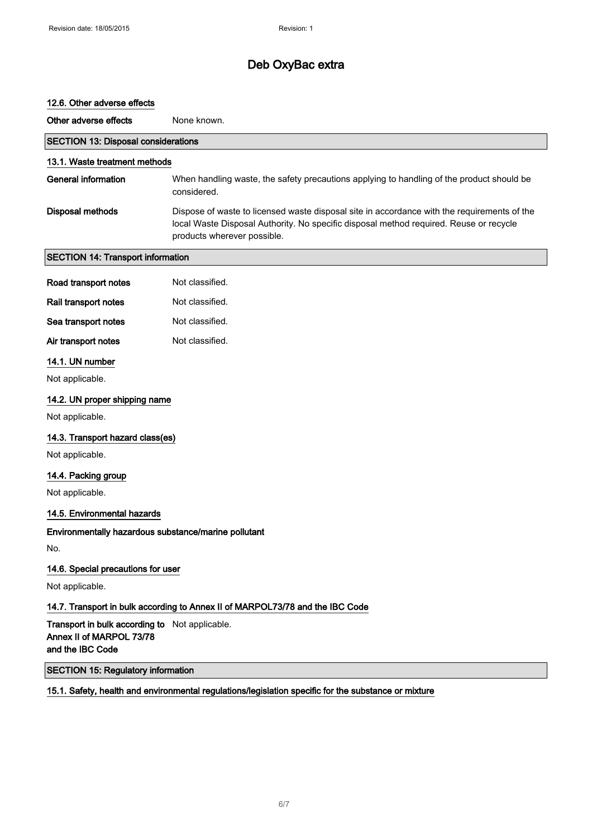# 12.6. Other adverse effects Other adverse effects None known. SECTION 13: Disposal considerations 13.1. Waste treatment methods General information When handling waste, the safety precautions applying to handling of the product should be considered. Disposal methods Dispose of waste to licensed waste disposal site in accordance with the requirements of the local Waste Disposal Authority. No specific disposal method required. Reuse or recycle products wherever possible. SECTION 14: Transport information Road transport notes Not classified. Rail transport notes Not classified. Sea transport notes Not classified. Air transport notes Not classified. 14.1. UN number Not applicable. 14.2. UN proper shipping name Not applicable. 14.3. Transport hazard class(es) Not applicable. 14.4. Packing group Not applicable. 14.5. Environmental hazards Environmentally hazardous substance/marine pollutant No. 14.6. Special precautions for user Not applicable. 14.7. Transport in bulk according to Annex II of MARPOL73/78 and the IBC Code Transport in bulk according to Not applicable. Annex II of MARPOL 73/78 and the IBC Code SECTION 15: Regulatory information

15.1. Safety, health and environmental regulations/legislation specific for the substance or mixture